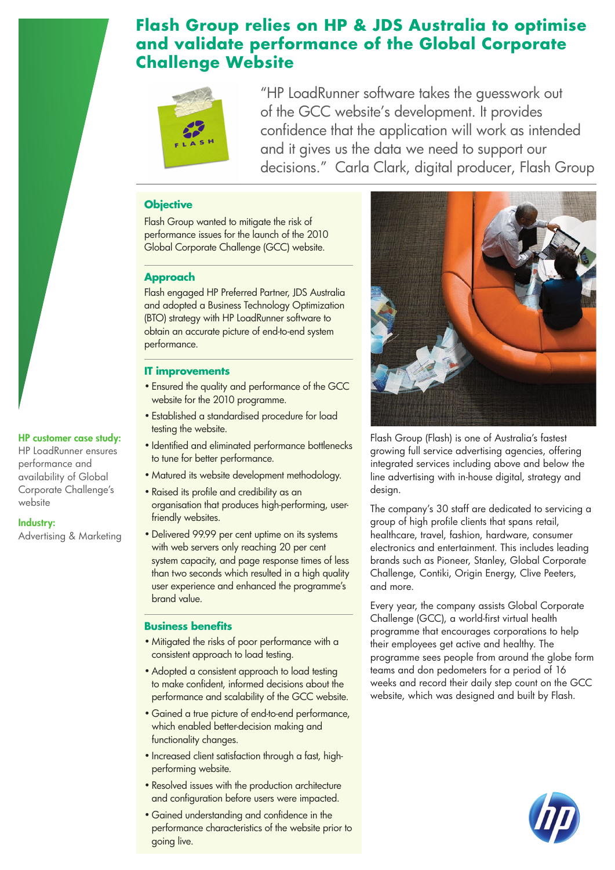## **Flash Group relies on HP & JDS Australia to optimise and validate performance of the Global Corporate Challenge Website**



"HP LoadRunner software takes the guesswork out of the GCC website's development. It provides confidence that the application will work as intended and it gives us the data we need to support our decisions." Carla Clark, digital producer, Flash Group

#### **Objective**

Flash Group wanted to mitigate the risk of performance issues for the launch of the 2010 Global Corporate Challenge (GCC) website.

#### **Approach**

Flash engaged HP Preferred Partner, JDS Australia and adopted a Business Technology Optimization (BTO) strategy with HP LoadRunner software to obtain an accurate picture of end-to-end system performance.

#### **IT improvements**

HP customer case study: HP LoadRunner ensures performance and availability of Global Corporate Challenge's

Advertising & Marketing

website

Industry:

- Ensured the quality and performance of the GCC website for the 2010 programme.
- Established a standardised procedure for load testing the website.
- Identified and eliminated performance bottlenecks to tune for better performance.
- Matured its website development methodology.
- Raised its profile and credibility as an organisation that produces high-performing, userfriendly websites.
- •Delivered 99.99 per cent uptime on its systems with web servers only reaching 20 per cent system capacity, and page response times of less than two seconds which resulted in a high quality user experience and enhanced the programme's brand value.

#### **Business benefits**

- Mitigated the risks of poor performance with a consistent approach to load testing.
- •Adopted a consistent approach to load testing to make confident, informed decisions about the performance and scalability of the GCC website.
- Gained a true picture of end-to-end performance, which enabled better-decision making and functionality changes.
- Increased client satisfaction through a fast, highperforming website.
- Resolved issues with the production architecture and configuration before users were impacted.
- Gained understanding and confidence in the performance characteristics of the website prior to going live.



Flash Group (Flash) is one of Australia's fastest growing full service advertising agencies, offering integrated services including above and below the line advertising with in-house digital, strategy and design.

The company's 30 staff are dedicated to servicing a group of high profile clients that spans retail, healthcare, travel, fashion, hardware, consumer electronics and entertainment. This includes leading brands such as Pioneer, Stanley, Global Corporate Challenge, Contiki, Origin Energy, Clive Peeters, and more.

Every year, the company assists Global Corporate Challenge (GCC), a world-first virtual health programme that encourages corporations to help their employees get active and healthy. The programme sees people from around the globe form teams and don pedometers for a period of 16 weeks and record their daily step count on the GCC website, which was designed and built by Flash.

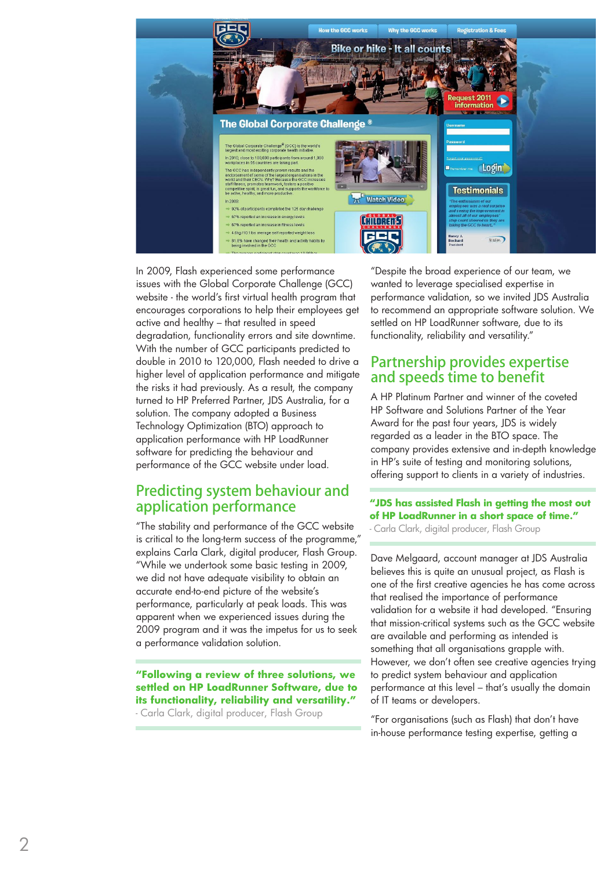

In 2009, Flash experienced some performance issues with the Global Corporate Challenge (GCC) website - the world's first virtual health program that encourages corporations to help their employees get active and healthy – that resulted in speed degradation, functionality errors and site downtime. With the number of GCC participants predicted to double in 2010 to 120,000, Flash needed to drive a higher level of application performance and mitigate the risks it had previously. As a result, the company turned to HP Preferred Partner, JDS Australia, for a solution. The company adopted a Business Technology Optimization (BTO) approach to application performance with HP LoadRunner software for predicting the behaviour and performance of the GCC website under load.

### Predicting system behaviour and application performance

"The stability and performance of the GCC website is critical to the long-term success of the programme," explains Carla Clark, digital producer, Flash Group. "While we undertook some basic testing in 2009, we did not have adequate visibility to obtain an accurate end-to-end picture of the website's performance, particularly at peak loads. This was apparent when we experienced issues during the 2009 program and it was the impetus for us to seek a performance validation solution.

**"Following a review of three solutions, we settled on HP LoadRunner Software, due to its functionality, reliability and versatility."** 

- Carla Clark, digital producer, Flash Group

"Despite the broad experience of our team, we wanted to leverage specialised expertise in performance validation, so we invited JDS Australia to recommend an appropriate software solution. We settled on HP LoadRunner software, due to its functionality, reliability and versatility."

### Partnership provides expertise and speeds time to benefit

A HP Platinum Partner and winner of the coveted HP Software and Solutions Partner of the Year Award for the past four years, JDS is widely regarded as a leader in the BTO space. The company provides extensive and in-depth knowledge in HP's suite of testing and monitoring solutions, offering support to clients in a variety of industries.

### **"JDS has assisted Flash in getting the most out of HP LoadRunner in a short space of time."**

- Carla Clark, digital producer, Flash Group

Dave Melgaard, account manager at JDS Australia believes this is quite an unusual project, as Flash is one of the first creative agencies he has come across that realised the importance of performance validation for a website it had developed. "Ensuring that mission-critical systems such as the GCC website are available and performing as intended is something that all organisations grapple with. However, we don't often see creative agencies trying to predict system behaviour and application performance at this level – that's usually the domain of IT teams or developers.

"For organisations (such as Flash) that don't have in-house performance testing expertise, getting a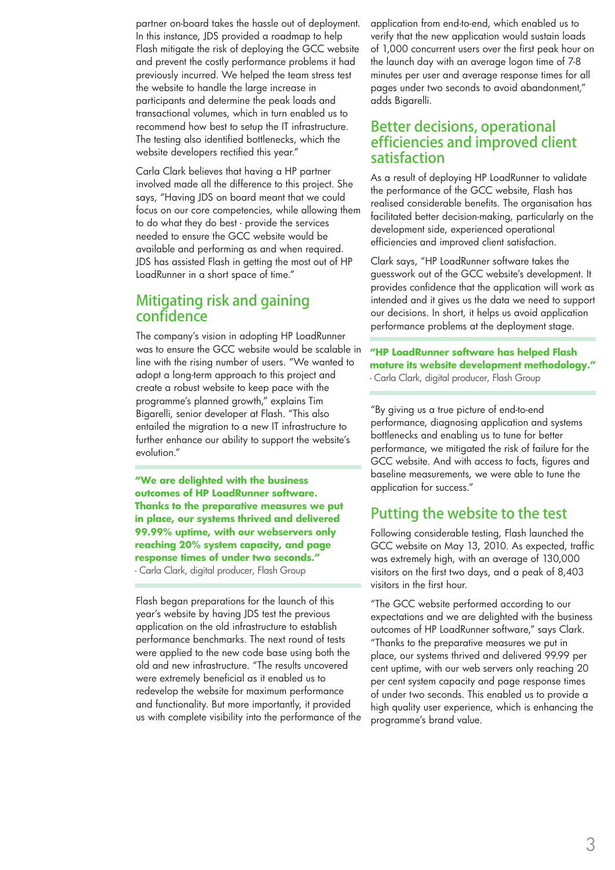partner on-board takes the hassle out of deployment. In this instance, JDS provided a roadmap to help Flash mitigate the risk of deploying the GCC website and prevent the costly performance problems it had previously incurred. We helped the team stress test the website to handle the large increase in participants and determine the peak loads and transactional volumes, which in turn enabled us to recommend how best to setup the IT infrastructure. The testing also identified bottlenecks, which the website developers rectified this year."

Carla Clark believes that having a HP partner involved made all the difference to this project. She says, "Having JDS on board meant that we could focus on our core competencies, while allowing them to do what they do best - provide the services needed to ensure the GCC website would be available and performing as and when required. JDS has assisted Flash in getting the most out of HP LoadRunner in a short space of time."

### Mitigating risk and gaining confidence

The company's vision in adopting HP LoadRunner was to ensure the GCC website would be scalable in line with the rising number of users. "We wanted to adopt a long-term approach to this project and create a robust website to keep pace with the programme's planned growth," explains Tim Bigarelli, senior developer at Flash. "This also entailed the migration to a new IT infrastructure to further enhance our ability to support the website's evolution."

**"We are delighted with the business outcomes of HP LoadRunner software. Thanks to the preparative measures we put in place, our systems thrived and delivered 99.99% uptime, with our webservers only reaching 20% system capacity, and page response times of under two seconds."** 

- Carla Clark, digital producer, Flash Group

Flash began preparations for the launch of this year's website by having JDS test the previous application on the old infrastructure to establish performance benchmarks. The next round of tests were applied to the new code base using both the old and new infrastructure. "The results uncovered were extremely beneficial as it enabled us to redevelop the website for maximum performance and functionality. But more importantly, it provided us with complete visibility into the performance of the application from end-to-end, which enabled us to verify that the new application would sustain loads of 1,000 concurrent users over the first peak hour on the launch day with an average logon time of 7-8 minutes per user and average response times for all pages under two seconds to avoid abandonment," adds Bigarelli.

### Better decisions, operational efficiencies and improved client satisfaction

As a result of deploying HP LoadRunner to validate the performance of the GCC website, Flash has realised considerable benefits. The organisation has facilitated better decision-making, particularly on the development side, experienced operational efficiencies and improved client satisfaction.

Clark says, "HP LoadRunner software takes the guesswork out of the GCC website's development. It provides confidence that the application will work as intended and it gives us the data we need to support our decisions. In short, it helps us avoid application performance problems at the deployment stage.

**"HP LoadRunner software has helped Flash mature its website development methodology."**  - Carla Clark, digital producer, Flash Group

"By giving us a true picture of end-to-end performance, diagnosing application and systems bottlenecks and enabling us to tune for better performance, we mitigated the risk of failure for the GCC website. And with access to facts, figures and baseline measurements, we were able to tune the application for success."

### Putting the website to the test

Following considerable testing, Flash launched the GCC website on May 13, 2010. As expected, traffic was extremely high, with an average of 130,000 visitors on the first two days, and a peak of 8,403 visitors in the first hour.

"The GCC website performed according to our expectations and we are delighted with the business outcomes of HP LoadRunner software," says Clark. "Thanks to the preparative measures we put in place, our systems thrived and delivered 99.99 per cent uptime, with our web servers only reaching 20 per cent system capacity and page response times of under two seconds. This enabled us to provide a high quality user experience, which is enhancing the programme's brand value.